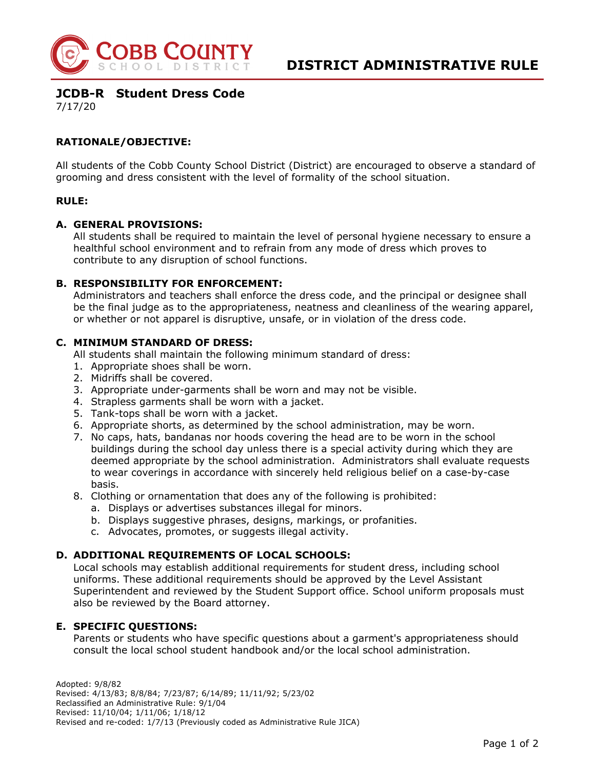

# **JCDB-R Student Dress Code**

7/17/20

# **RATIONALE/OBJECTIVE:**

All students of the Cobb County School District (District) are encouraged to observe a standard of grooming and dress consistent with the level of formality of the school situation.

#### **RULE:**

#### **A. GENERAL PROVISIONS:**

All students shall be required to maintain the level of personal hygiene necessary to ensure a healthful school environment and to refrain from any mode of dress which proves to contribute to any disruption of school functions.

## **B. RESPONSIBILITY FOR ENFORCEMENT:**

Administrators and teachers shall enforce the dress code, and the principal or designee shall be the final judge as to the appropriateness, neatness and cleanliness of the wearing apparel, or whether or not apparel is disruptive, unsafe, or in violation of the dress code.

## **C. MINIMUM STANDARD OF DRESS:**

All students shall maintain the following minimum standard of dress:

- 1. Appropriate shoes shall be worn.
- 2. Midriffs shall be covered.
- 3. Appropriate under-garments shall be worn and may not be visible.
- 4. Strapless garments shall be worn with a jacket.
- 5. Tank-tops shall be worn with a jacket.
- 6. Appropriate shorts, as determined by the school administration, may be worn.
- 7. No caps, hats, bandanas nor hoods covering the head are to be worn in the school buildings during the school day unless there is a special activity during which they are deemed appropriate by the school administration. Administrators shall evaluate requests to wear coverings in accordance with sincerely held religious belief on a case-by-case basis.
- 8. Clothing or ornamentation that does any of the following is prohibited:
	- a. Displays or advertises substances illegal for minors.
	- b. Displays suggestive phrases, designs, markings, or profanities.
	- c. Advocates, promotes, or suggests illegal activity.

## **D. ADDITIONAL REQUIREMENTS OF LOCAL SCHOOLS:**

Local schools may establish additional requirements for student dress, including school uniforms. These additional requirements should be approved by the Level Assistant Superintendent and reviewed by the Student Support office. School uniform proposals must also be reviewed by the Board attorney.

## **E. SPECIFIC QUESTIONS:**

Parents or students who have specific questions about a garment's appropriateness should consult the local school student handbook and/or the local school administration.